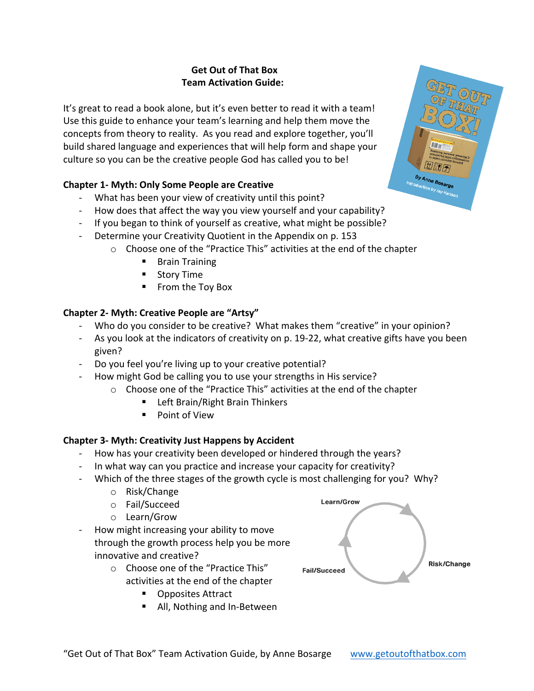# **Get Out of That Box Team Activation Guide:**

It's great to read a book alone, but it's even better to read it with a team! Use this guide to enhance your team's learning and help them move the concepts from theory to reality. As you read and explore together, you'll build shared language and experiences that will help form and shape your culture so you can be the creative people God has called you to be!

# **Chapter 1- Myth: Only Some People are Creative**

- What has been your view of creativity until this point?
- How does that affect the way you view yourself and your capability?
- If you began to think of yourself as creative, what might be possible?
- Determine your Creativity Quotient in the Appendix on p. 153
	- o Choose one of the "Practice This" activities at the end of the chapter
		- Brain Training
		- Story Time
		- From the Toy Box

### **Chapter 2- Myth: Creative People are "Artsy"**

- Who do you consider to be creative? What makes them "creative" in your opinion?
- As you look at the indicators of creativity on p. 19-22, what creative gifts have you been given?
- Do you feel you're living up to your creative potential?
- How might God be calling you to use your strengths in His service?
	- o Choose one of the "Practice This" activities at the end of the chapter
		- Left Brain/Right Brain Thinkers
		- Point of View

# **Chapter 3- Myth: Creativity Just Happens by Accident**

- How has your creativity been developed or hindered through the years?
- In what way can you practice and increase your capacity for creativity?
- Which of the three stages of the growth cycle is most challenging for you? Why?
	- o Risk/Change
	- o Fail/Succeed
	- o Learn/Grow
- How might increasing your ability to move through the growth process help you be more innovative and creative?
	- o Choose one of the "Practice This" activities at the end of the chapter
		- Opposites Attract
		- All, Nothing and In-Between



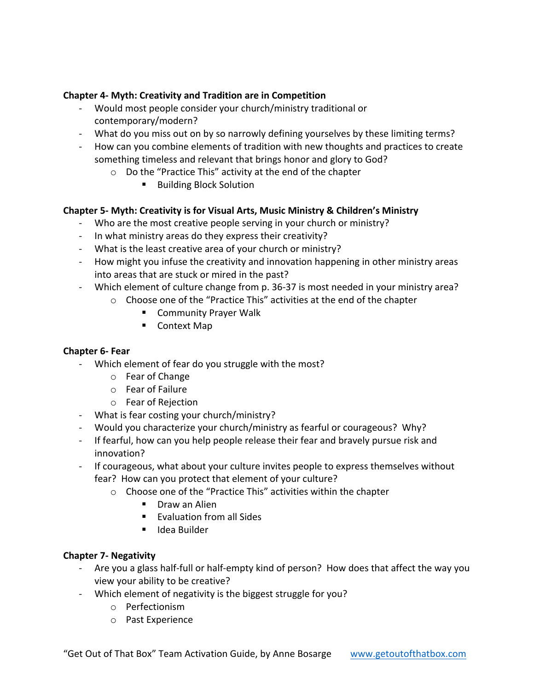### **Chapter 4- Myth: Creativity and Tradition are in Competition**

- Would most people consider your church/ministry traditional or contemporary/modern?
- What do you miss out on by so narrowly defining yourselves by these limiting terms?
- How can you combine elements of tradition with new thoughts and practices to create something timeless and relevant that brings honor and glory to God?
	- o Do the "Practice This" activity at the end of the chapter
		- Building Block Solution

### **Chapter 5- Myth: Creativity is for Visual Arts, Music Ministry & Children's Ministry**

- Who are the most creative people serving in your church or ministry?
- In what ministry areas do they express their creativity?
- What is the least creative area of your church or ministry?
- How might you infuse the creativity and innovation happening in other ministry areas into areas that are stuck or mired in the past?
- Which element of culture change from p. 36-37 is most needed in your ministry area?
	- o Choose one of the "Practice This" activities at the end of the chapter
		- Community Prayer Walk
		- Context Map

#### **Chapter 6- Fear**

- Which element of fear do you struggle with the most?
	- o Fear of Change
	- o Fear of Failure
	- o Fear of Rejection
- What is fear costing your church/ministry?
- Would you characterize your church/ministry as fearful or courageous? Why?
- If fearful, how can you help people release their fear and bravely pursue risk and innovation?
- If courageous, what about your culture invites people to express themselves without fear? How can you protect that element of your culture?
	- o Choose one of the "Practice This" activities within the chapter
		- Draw an Alien
		- Evaluation from all Sides
		- Idea Builder

#### **Chapter 7- Negativity**

- Are you a glass half-full or half-empty kind of person? How does that affect the way you view your ability to be creative?
- Which element of negativity is the biggest struggle for you?
	- o Perfectionism
	- o Past Experience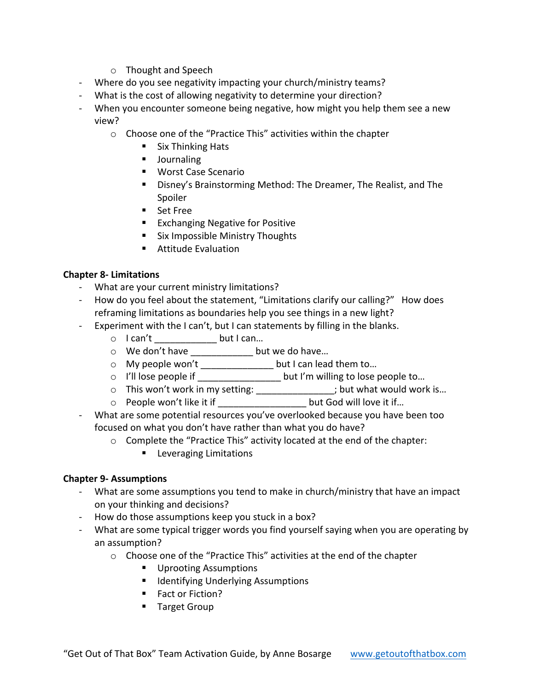- o Thought and Speech
- Where do you see negativity impacting your church/ministry teams?
- What is the cost of allowing negativity to determine your direction?
- When you encounter someone being negative, how might you help them see a new view?
	- o Choose one of the "Practice This" activities within the chapter
		- Six Thinking Hats
		- Journaling
		- Worst Case Scenario
		- Disney's Brainstorming Method: The Dreamer, The Realist, and The Spoiler
		- Set Free
		- Exchanging Negative for Positive
		- Six Impossible Ministry Thoughts
		- Attitude Evaluation

#### **Chapter 8- Limitations**

- What are your current ministry limitations?
- How do you feel about the statement, "Limitations clarify our calling?" How does reframing limitations as boundaries help you see things in a new light?
- Experiment with the I can't, but I can statements by filling in the blanks.
	- o I can't \_\_\_\_\_\_\_\_\_\_\_\_ but I can…
	- o We don't have \_\_\_\_\_\_\_\_\_\_\_\_ but we do have…
	- o My people won't \_\_\_\_\_\_\_\_\_\_\_\_\_\_ but I can lead them to…
	- o I'll lose people if \_\_\_\_\_\_\_\_\_\_\_\_\_\_\_\_ but I'm willing to lose people to…
	- o This won't work in my setting: \_\_\_\_\_\_\_\_\_\_\_\_\_\_; but what would work is...
	- o People won't like it if \_\_\_\_\_\_\_\_\_\_\_\_\_\_\_\_\_ but God will love it if…
- What are some potential resources you've overlooked because you have been too focused on what you don't have rather than what you do have?
	- o Complete the "Practice This" activity located at the end of the chapter:
		- Leveraging Limitations

#### **Chapter 9- Assumptions**

- What are some assumptions you tend to make in church/ministry that have an impact on your thinking and decisions?
- How do those assumptions keep you stuck in a box?
- What are some typical trigger words you find yourself saying when you are operating by an assumption?
	- o Choose one of the "Practice This" activities at the end of the chapter
		- Uprooting Assumptions
		- Identifying Underlying Assumptions
		- Fact or Fiction?
		- Target Group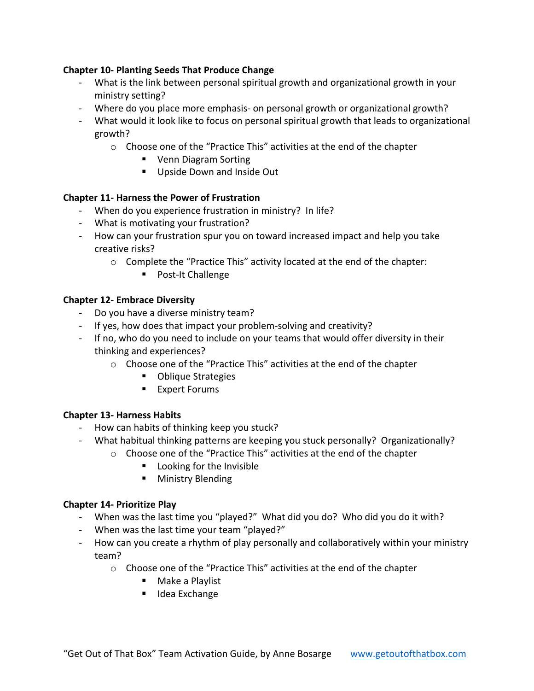### **Chapter 10- Planting Seeds That Produce Change**

- What is the link between personal spiritual growth and organizational growth in your ministry setting?
- Where do you place more emphasis- on personal growth or organizational growth?
- What would it look like to focus on personal spiritual growth that leads to organizational growth?
	- o Choose one of the "Practice This" activities at the end of the chapter
		- Venn Diagram Sorting
		- Upside Down and Inside Out

#### **Chapter 11- Harness the Power of Frustration**

- When do you experience frustration in ministry? In life?
- What is motivating your frustration?
- How can your frustration spur you on toward increased impact and help you take creative risks?
	- o Complete the "Practice This" activity located at the end of the chapter:
		- Post-It Challenge

#### **Chapter 12- Embrace Diversity**

- Do you have a diverse ministry team?
- If yes, how does that impact your problem-solving and creativity?
- If no, who do you need to include on your teams that would offer diversity in their thinking and experiences?
	- o Choose one of the "Practice This" activities at the end of the chapter
		- Oblique Strategies
		- Expert Forums

#### **Chapter 13- Harness Habits**

- How can habits of thinking keep you stuck?
- What habitual thinking patterns are keeping you stuck personally? Organizationally?
	- o Choose one of the "Practice This" activities at the end of the chapter
		- Looking for the Invisible
		- Ministry Blending

#### **Chapter 14- Prioritize Play**

- When was the last time you "played?" What did you do? Who did you do it with?
- When was the last time your team "played?"
- How can you create a rhythm of play personally and collaboratively within your ministry team?
	- o Choose one of the "Practice This" activities at the end of the chapter
		- Make a Playlist
		- Idea Exchange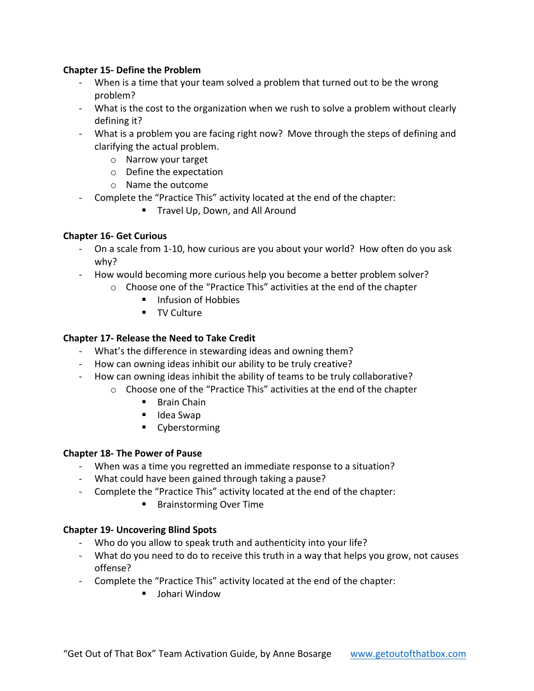### **Chapter 15- Define the Problem**

- When is a time that your team solved a problem that turned out to be the wrong problem?
- What is the cost to the organization when we rush to solve a problem without clearly defining it?
- What is a problem you are facing right now? Move through the steps of defining and clarifying the actual problem.
	- o Narrow your target
	- o Define the expectation
	- o Name the outcome
- Complete the "Practice This" activity located at the end of the chapter:
	- Travel Up, Down, and All Around

#### **Chapter 16- Get Curious**

- On a scale from 1-10, how curious are you about your world? How often do you ask why?
- How would becoming more curious help you become a better problem solver?
	- o Choose one of the "Practice This" activities at the end of the chapter
		- Infusion of Hobbies
		- TV Culture

### **Chapter 17- Release the Need to Take Credit**

- What's the difference in stewarding ideas and owning them?
- How can owning ideas inhibit our ability to be truly creative?
- How can owning ideas inhibit the ability of teams to be truly collaborative?
	- o Choose one of the "Practice This" activities at the end of the chapter
		- Brain Chain
		- Idea Swap
		- Cyberstorming

#### **Chapter 18- The Power of Pause**

- When was a time you regretted an immediate response to a situation?
- What could have been gained through taking a pause?
- Complete the "Practice This" activity located at the end of the chapter:
	- Brainstorming Over Time

#### **Chapter 19- Uncovering Blind Spots**

- Who do you allow to speak truth and authenticity into your life?
- What do you need to do to receive this truth in a way that helps you grow, not causes offense?
- Complete the "Practice This" activity located at the end of the chapter:
	- Johari Window